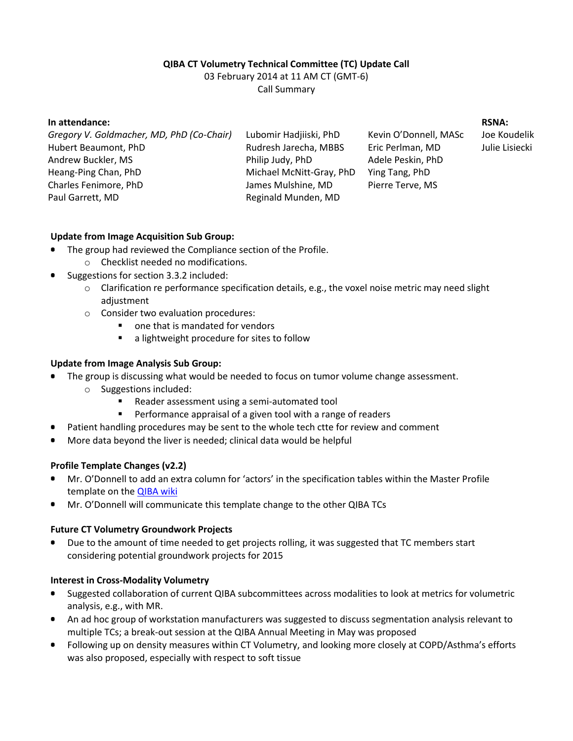# **QIBA CT Volumetry Technical Committee (TC) Update Call**

03 February 2014 at 11 AM CT (GMT-6)

Call Summary

#### **In attendance:**

*Gregory V. Goldmacher, MD, PhD (Co-Chair)* Hubert Beaumont, PhD Andrew Buckler, MS Heang-Ping Chan, PhD Charles Fenimore, PhD Paul Garrett, MD

Lubomir Hadjiiski, PhD Rudresh Jarecha, MBBS Philip Judy, PhD Michael McNitt-Gray, PhD James Mulshine, MD Reginald Munden, MD

Kevin O'Donnell, MASc Eric Perlman, MD Adele Peskin, PhD Ying Tang, PhD Pierre Terve, MS

**RSNA:**

Joe Koudelik Julie Lisiecki

#### **Update from Image Acquisition Sub Group:**

- The group had reviewed the Compliance section of the Profile.
	- o Checklist needed no modifications.
- Suggestions for section 3.3.2 included:
	- $\circ$  Clarification re performance specification details, e.g., the voxel noise metric may need slight adjustment
	- o Consider two evaluation procedures:
		- one that is mandated for vendors
		- a lightweight procedure for sites to follow

# **Update from Image Analysis Sub Group:**

- The group is discussing what would be needed to focus on tumor volume change assessment.
	- o Suggestions included:
		- Reader assessment using a semi-automated tool
		- Performance appraisal of a given tool with a range of readers
	- Patient handling procedures may be sent to the whole tech ctte for review and comment
- More data beyond the liver is needed; clinical data would be helpful

## **Profile Template Changes (v2.2)**

- Mr. O'Donnell to add an extra column for 'actors' in the specification tables within the Master Profile template on the **QIBA wiki**
- Mr. O'Donnell will communicate this template change to the other QIBA TCs

## **Future CT Volumetry Groundwork Projects**

Due to the amount of time needed to get projects rolling, it was suggested that TC members start considering potential groundwork projects for 2015

## **Interest in Cross-Modality Volumetry**

- Suggested collaboration of current QIBA subcommittees across modalities to look at metrics for volumetric analysis, e.g., with MR.
- An ad hoc group of workstation manufacturers was suggested to discuss segmentation analysis relevant to multiple TCs; a break-out session at the QIBA Annual Meeting in May was proposed
- Following up on density measures within CT Volumetry, and looking more closely at COPD/Asthma's efforts was also proposed, especially with respect to soft tissue